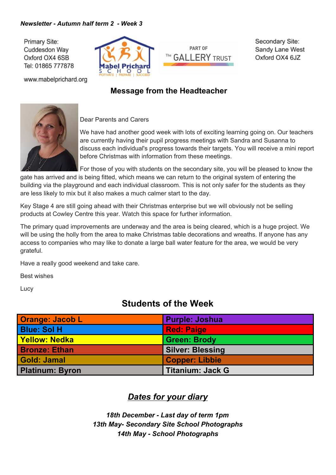#### *Newsletter - Autumn half term 2 - Week 3*

Primary Site: Cuddesdon Way Oxford OX4 6SB Tel: 01865 777878



www.mabelprichard.org

# **PART OF** The **GALLERY** TRUST

Secondary Site: Sandy Lane West Oxford OX4 6JZ

#### **Message from the Headteacher**



Dear Parents and Carers

We have had another good week with lots of exciting learning going on. Our teachers are currently having their pupil progress meetings with Sandra and Susanna to discuss each individual's progress towards their targets. You will receive a mini report before Christmas with information from these meetings.

For those of you with students on the secondary site, you will be pleased to know the

gate has arrived and is being fitted, which means we can return to the original system of entering the building via the playground and each individual classroom. This is not only safer for the students as they are less likely to mix but it also makes a much calmer start to the day.

Key Stage 4 are still going ahead with their Christmas enterprise but we will obviously not be selling products at Cowley Centre this year. Watch this space for further information.

The primary quad improvements are underway and the area is being cleared, which is a huge project. We will be using the holly from the area to make Christmas table decorations and wreaths. If anyone has any access to companies who may like to donate a large ball water feature for the area, we would be very grateful.

Have a really good weekend and take care.

Best wishes

Lucy

# **Students of the Week**

| <b>Orange: Jacob L</b> | <b>Purple: Joshua</b>   |
|------------------------|-------------------------|
| <b>Blue: Sol H</b>     | <b>Red: Paige</b>       |
| <b>Yellow: Nedka</b>   | <b>Green: Brody</b>     |
| <b>Bronze: Ethan</b>   | <b>Silver: Blessing</b> |
| Gold: Jamal            | Copper: Libbie          |
| <b>Platinum: Byron</b> | <b>Titanium: Jack G</b> |

#### *Dates for your diary*

*18th December - Last day of term 1pm 13th May- Secondary Site School Photographs 14th May - School Photographs*